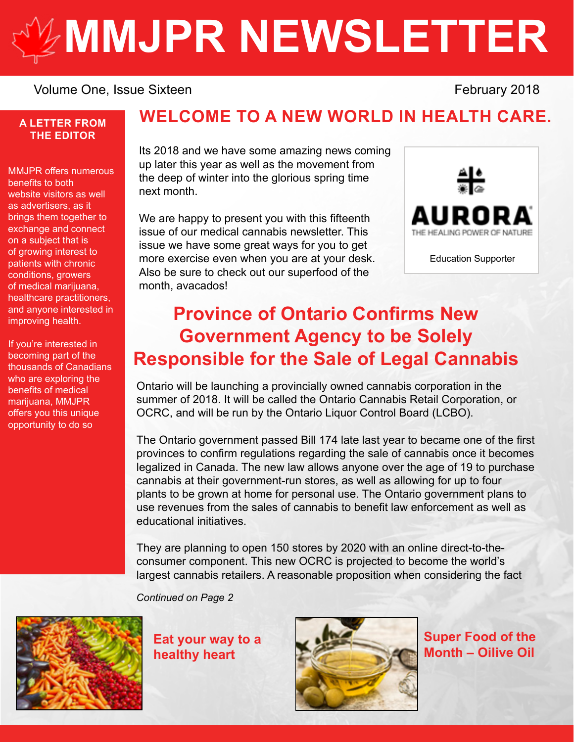# **[MMJPR NEWSLETTER](http://mmjpr.ca)**

#### Volume One, Issue Sixteen **February 2018**

#### **A LETTER FROM THE EDITOR**

MMJPR offers numerous benefits to both website visitors as well as advertisers, as it brings them together to exchange and connect on a subject that is of growing interest to patients with chronic conditions, growers of medical marijuana, healthcare practitioners, and anyone interested in improving health.

If you're interested in becoming part of the thousands of Canadians who are exploring the benefits of medical marijuana, MMJPR offers you this unique opportunity to do so

## **WELCOME TO A NEW WORLD IN HEALTH CARE.**

Its 2018 and we have some amazing news coming up later this year as well as the movement from the deep of winter into the glorious spring time next month.

We are happy to present you with this fifteenth issue of our medical cannabis newsletter. This issue we have some great ways for you to get more exercise even when you are at your desk. Also be sure to check out our superfood of the month, avacados!



# **Province of Ontario Confirms New Government Agency to be Solely Responsible for the Sale of Legal Cannabis**

Ontario will be launching a provincially owned cannabis corporation in the summer of 2018. It will be called the Ontario Cannabis Retail Corporation, or OCRC, and will be run by the Ontario Liquor Control Board (LCBO).

The Ontario government passed Bill 174 late last year to became one of the first provinces to confirm regulations regarding the sale of cannabis once it becomes legalized in Canada. The new law allows anyone over the age of 19 to purchase cannabis at their government-run stores, as well as allowing for up to four plants to be grown at home for personal use. The Ontario government plans to use revenues from the sales of cannabis to benefit law enforcement as well as educational initiatives.

They are planning to open 150 stores by 2020 with an online direct-to-theconsumer component. This new OCRC is projected to become the world's largest cannabis retailers. A reasonable proposition when considering the fact

*Continued on Page 2*



**Eat your way to a healthy heart**



**Super Food of the Month – Oilive Oil**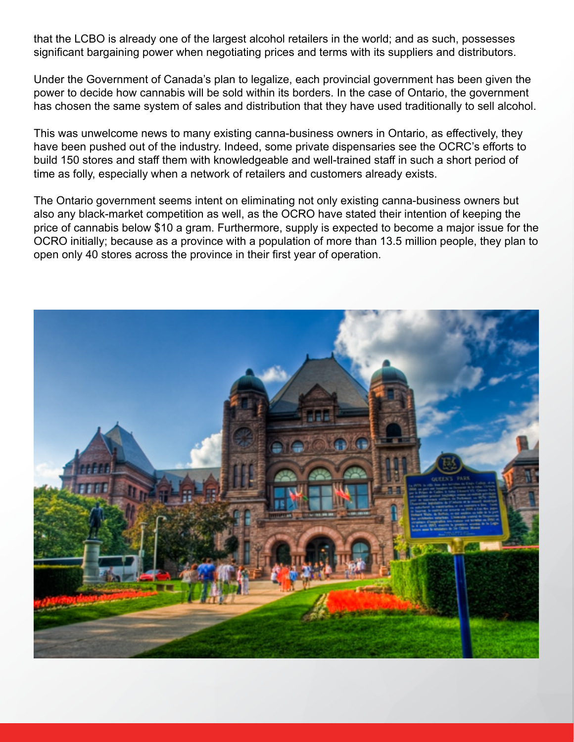that the LCBO is already one of the largest alcohol retailers in the world; and as such, possesses significant bargaining power when negotiating prices and terms with its suppliers and distributors.

Under the Government of Canada's plan to legalize, each provincial government has been given the power to decide how cannabis will be sold within its borders. In the case of Ontario, the government has chosen the same system of sales and distribution that they have used traditionally to sell alcohol.

This was unwelcome news to many existing canna-business owners in Ontario, as effectively, they have been pushed out of the industry. Indeed, some private dispensaries see the OCRC's efforts to build 150 stores and staff them with knowledgeable and well-trained staff in such a short period of time as folly, especially when a network of retailers and customers already exists.

The Ontario government seems intent on eliminating not only existing canna-business owners but also any black-market competition as well, as the OCRO have stated their intention of keeping the price of cannabis below \$10 a gram. Furthermore, supply is expected to become a major issue for the OCRO initially; because as a province with a population of more than 13.5 million people, they plan to open only 40 stores across the province in their first year of operation.

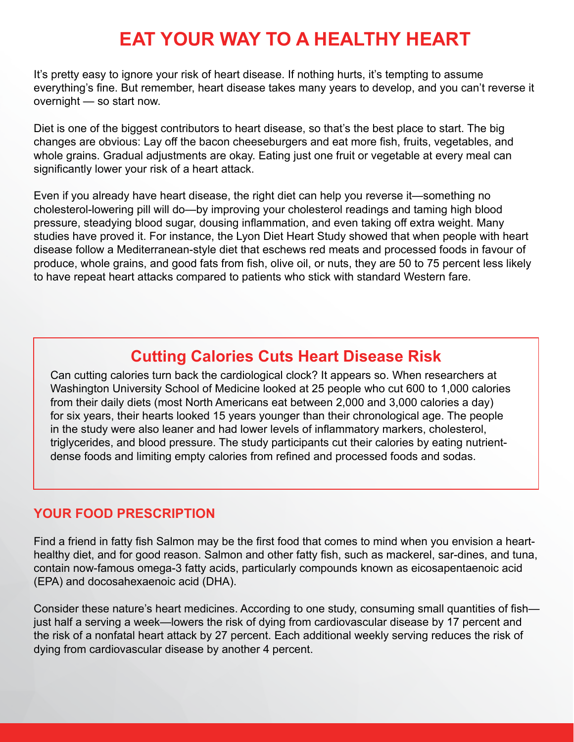# **EAT YOUR WAY TO A HEALTHY HEART**

It's pretty easy to ignore your risk of heart disease. If nothing hurts, it's tempting to assume everything's fine. But remember, heart disease takes many years to develop, and you can't reverse it overnight — so start now.

Diet is one of the biggest contributors to heart disease, so that's the best place to start. The big changes are obvious: Lay off the bacon cheeseburgers and eat more fish, fruits, vegetables, and whole grains. Gradual adjustments are okay. Eating just one fruit or vegetable at every meal can significantly lower your risk of a heart attack.

Even if you already have heart disease, the right diet can help you reverse it—something no cholesterol-lowering pill will do—by improving your cholesterol readings and taming high blood pressure, steadying blood sugar, dousing inflammation, and even taking off extra weight. Many studies have proved it. For instance, the Lyon Diet Heart Study showed that when people with heart disease follow a Mediterranean-style diet that eschews red meats and processed foods in favour of produce, whole grains, and good fats from fish, olive oil, or nuts, they are 50 to 75 percent less likely to have repeat heart attacks compared to patients who stick with standard Western fare.

## **Cutting Calories Cuts Heart Disease Risk**

Can cutting calories turn back the cardiological clock? It appears so. When researchers at Washington University School of Medicine looked at 25 people who cut 600 to 1,000 calories from their daily diets (most North Americans eat between 2,000 and 3,000 calories a day) for six years, their hearts looked 15 years younger than their chronological age. The people in the study were also leaner and had lower levels of inflammatory markers, cholesterol, triglycerides, and blood pressure. The study participants cut their calories by eating nutrientdense foods and limiting empty calories from refined and processed foods and sodas.

#### **YOUR FOOD PRESCRIPTION**

Find a friend in fatty fish Salmon may be the first food that comes to mind when you envision a hearthealthy diet, and for good reason. Salmon and other fatty fish, such as mackerel, sar-dines, and tuna, contain now-famous omega-3 fatty acids, particularly compounds known as eicosapentaenoic acid (EPA) and docosahexaenoic acid (DHA).

Consider these nature's heart medicines. According to one study, consuming small quantities of fish just half a serving a week—lowers the risk of dying from cardiovascular disease by 17 percent and the risk of a nonfatal heart attack by 27 percent. Each additional weekly serving reduces the risk of dying from cardiovascular disease by another 4 percent.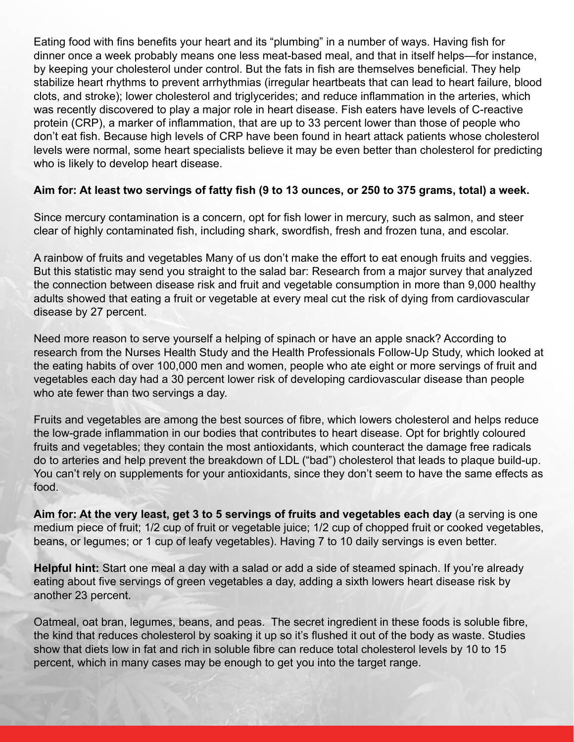Eating food with fins benefits your heart and its "plumbing" in a number of ways. Having fish for dinner once a week probably means one less meat-based meal, and that in itself helps—for instance, by keeping your cholesterol under control. But the fats in fish are themselves beneficial. They help stabilize heart rhythms to prevent arrhythmias (irregular heartbeats that can lead to heart failure, blood clots, and stroke); lower cholesterol and triglycerides; and reduce inflammation in the arteries, which was recently discovered to play a major role in heart disease. Fish eaters have levels of C-reactive protein (CRP), a marker of inflammation, that are up to 33 percent lower than those of people who don't eat fish. Because high levels of CRP have been found in heart attack patients whose cholesterol levels were normal, some heart specialists believe it may be even better than cholesterol for predicting who is likely to develop heart disease.

#### **Aim for: At least two servings of fatty fish (9 to 13 ounces, or 250 to 375 grams, total) a week.**

Since mercury contamination is a concern, opt for fish lower in mercury, such as salmon, and steer clear of highly contaminated fish, including shark, swordfish, fresh and frozen tuna, and escolar.

A rainbow of fruits and vegetables Many of us don't make the effort to eat enough fruits and veggies. But this statistic may send you straight to the salad bar: Research from a major survey that analyzed the connection between disease risk and fruit and vegetable consumption in more than 9,000 healthy adults showed that eating a fruit or vegetable at every meal cut the risk of dying from cardiovascular disease by 27 percent.

Need more reason to serve yourself a helping of spinach or have an apple snack? According to research from the Nurses Health Study and the Health Professionals Follow-Up Study, which looked at the eating habits of over 100,000 men and women, people who ate eight or more servings of fruit and vegetables each day had a 30 percent lower risk of developing cardiovascular disease than people who ate fewer than two servings a day.

Fruits and vegetables are among the best sources of fibre, which lowers cholesterol and helps reduce the low-grade inflammation in our bodies that contributes to heart disease. Opt for brightly coloured fruits and vegetables; they contain the most antioxidants, which counteract the damage free radicals do to arteries and help prevent the breakdown of LDL ("bad") cholesterol that leads to plaque build-up. You can't rely on supplements for your antioxidants, since they don't seem to have the same effects as food.

**Aim for: At the very least, get 3 to 5 servings of fruits and vegetables each day** (a serving is one medium piece of fruit; 1/2 cup of fruit or vegetable juice; 1/2 cup of chopped fruit or cooked vegetables, beans, or legumes; or 1 cup of leafy vegetables). Having 7 to 10 daily servings is even better.

**Helpful hint:** Start one meal a day with a salad or add a side of steamed spinach. If you're already eating about five servings of green vegetables a day, adding a sixth lowers heart disease risk by another 23 percent.

Oatmeal, oat bran, legumes, beans, and peas. The secret ingredient in these foods is soluble fibre, the kind that reduces cholesterol by soaking it up so it's flushed it out of the body as waste. Studies show that diets low in fat and rich in soluble fibre can reduce total cholesterol levels by 10 to 15 percent, which in many cases may be enough to get you into the target range.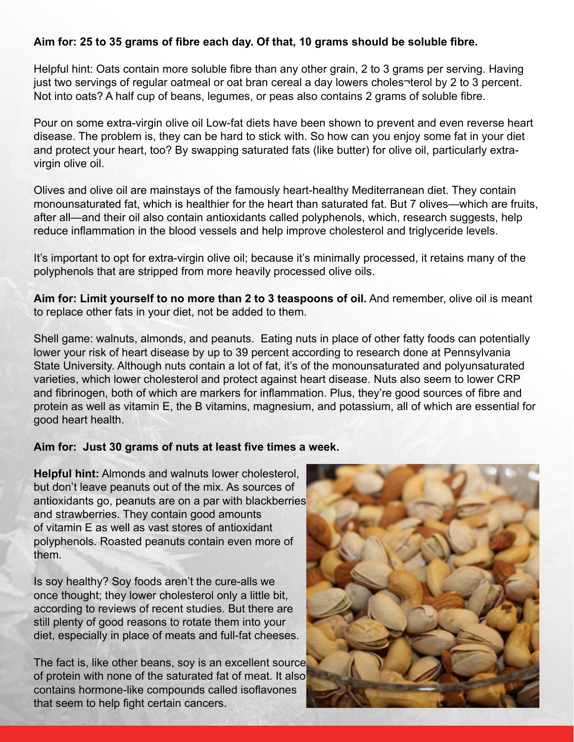#### **Aim for: 25 to 35 grams of fibre each day. Of that, 10 grams should be soluble fibre.**

Helpful hint: Oats contain more soluble fibre than any other grain, 2 to 3 grams per serving. Having just two servings of regular oatmeal or oat bran cereal a day lowers choles¬terol by 2 to 3 percent. Not into oats? A half cup of beans, legumes, or peas also contains 2 grams of soluble fibre.

Pour on some extra-virgin olive oil Low-fat diets have been shown to prevent and even reverse heart disease. The problem is, they can be hard to stick with. So how can you enjoy some fat in your diet and protect your heart, too? By swapping saturated fats (like butter) for olive oil, particularly extravirgin olive oil.

Olives and olive oil are mainstays of the famously heart-healthy Mediterranean diet. They contain monounsaturated fat, which is healthier for the heart than saturated fat. But 7 olives—which are fruits, after all—and their oil also contain antioxidants called polyphenols, which, research suggests, help reduce inflammation in the blood vessels and help improve cholesterol and triglyceride levels.

It's important to opt for extra-virgin olive oil; because it's minimally processed, it retains many of the polyphenols that are stripped from more heavily processed olive oils.

**Aim for: Limit yourself to no more than 2 to 3 teaspoons of oil.** And remember, olive oil is meant to replace other fats in your diet, not be added to them.

Shell game: walnuts, almonds, and peanuts. Eating nuts in place of other fatty foods can potentially lower your risk of heart disease by up to 39 percent according to research done at Pennsylvania State University. Although nuts contain a lot of fat, it's of the monounsaturated and polyunsaturated varieties, which lower cholesterol and protect against heart disease. Nuts also seem to lower CRP and fibrinogen, both of which are markers for inflammation. Plus, they're good sources of fibre and protein as well as vitamin E, the B vitamins, magnesium, and potassium, all of which are essential for good heart health.

#### **Aim for: Just 30 grams of nuts at least five times a week.**

**Helpful hint:** Almonds and walnuts lower cholesterol, but don't leave peanuts out of the mix. As sources of antioxidants go, peanuts are on a par with blackberries and strawberries. They contain good amounts of vitamin E as well as vast stores of antioxidant polyphenols. Roasted peanuts contain even more of them.

Is soy healthy? Soy foods aren't the cure-alls we once thought; they lower cholesterol only a little bit, according to reviews of recent studies. But there are still plenty of good reasons to rotate them into your diet, especially in place of meats and full-fat cheeses.

The fact is, like other beans, soy is an excellent source of protein with none of the saturated fat of meat. It also contains hormone-like compounds called isoflavones that seem to help fight certain cancers.

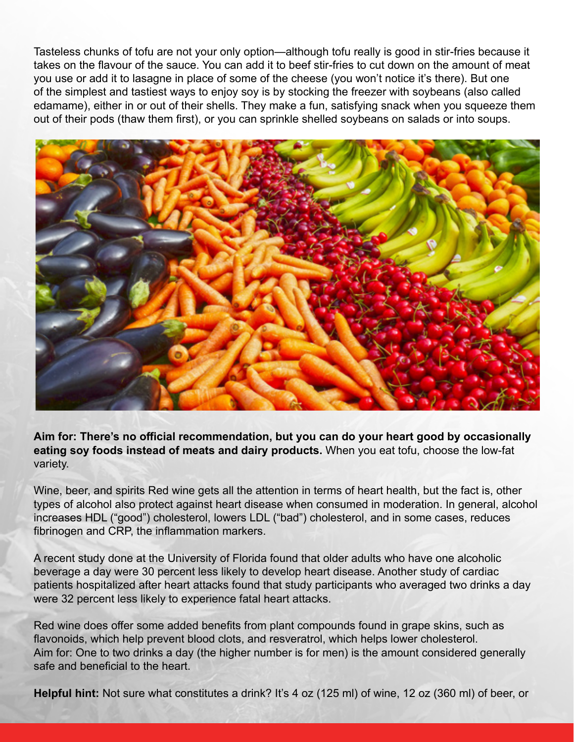Tasteless chunks of tofu are not your only option—although tofu really is good in stir-fries because it takes on the flavour of the sauce. You can add it to beef stir-fries to cut down on the amount of meat you use or add it to lasagne in place of some of the cheese (you won't notice it's there). But one of the simplest and tastiest ways to enjoy soy is by stocking the freezer with soybeans (also called edamame), either in or out of their shells. They make a fun, satisfying snack when you squeeze them out of their pods (thaw them first), or you can sprinkle shelled soybeans on salads or into soups.



**Aim for: There's no official recommendation, but you can do your heart good by occasionally eating soy foods instead of meats and dairy products.** When you eat tofu, choose the low-fat variety.

Wine, beer, and spirits Red wine gets all the attention in terms of heart health, but the fact is, other types of alcohol also protect against heart disease when consumed in moderation. In general, alcohol increases HDL ("good") cholesterol, lowers LDL ("bad") cholesterol, and in some cases, reduces fibrinogen and CRP, the inflammation markers.

A recent study done at the University of Florida found that older adults who have one alcoholic beverage a day were 30 percent less likely to develop heart disease. Another study of cardiac patients hospitalized after heart attacks found that study participants who averaged two drinks a day were 32 percent less likely to experience fatal heart attacks.

Red wine does offer some added benefits from plant compounds found in grape skins, such as flavonoids, which help prevent blood clots, and resveratrol, which helps lower cholesterol. Aim for: One to two drinks a day (the higher number is for men) is the amount considered generally safe and beneficial to the heart.

**Helpful hint:** Not sure what constitutes a drink? It's 4 oz (125 ml) of wine, 12 oz (360 ml) of beer, or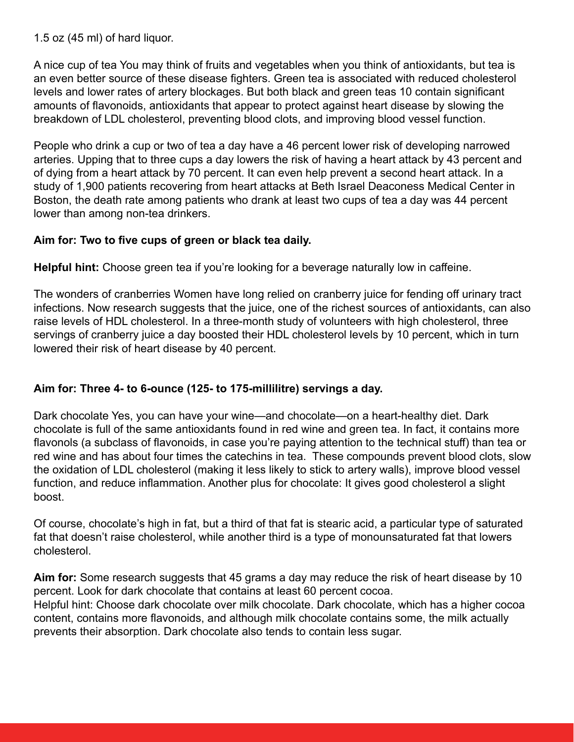1.5 oz (45 ml) of hard liquor.

A nice cup of tea You may think of fruits and vegetables when you think of antioxidants, but tea is an even better source of these disease fighters. Green tea is associated with reduced cholesterol levels and lower rates of artery blockages. But both black and green teas 10 contain significant amounts of flavonoids, antioxidants that appear to protect against heart disease by slowing the breakdown of LDL cholesterol, preventing blood clots, and improving blood vessel function.

People who drink a cup or two of tea a day have a 46 percent lower risk of developing narrowed arteries. Upping that to three cups a day lowers the risk of having a heart attack by 43 percent and of dying from a heart attack by 70 percent. It can even help prevent a second heart attack. In a study of 1,900 patients recovering from heart attacks at Beth Israel Deaconess Medical Center in Boston, the death rate among patients who drank at least two cups of tea a day was 44 percent lower than among non-tea drinkers.

#### **Aim for: Two to five cups of green or black tea daily.**

**Helpful hint:** Choose green tea if you're looking for a beverage naturally low in caffeine.

The wonders of cranberries Women have long relied on cranberry juice for fending off urinary tract infections. Now research suggests that the juice, one of the richest sources of antioxidants, can also raise levels of HDL cholesterol. In a three-month study of volunteers with high cholesterol, three servings of cranberry juice a day boosted their HDL cholesterol levels by 10 percent, which in turn lowered their risk of heart disease by 40 percent.

#### **Aim for: Three 4- to 6-ounce (125- to 175-millilitre) servings a day.**

Dark chocolate Yes, you can have your wine—and chocolate—on a heart-healthy diet. Dark chocolate is full of the same antioxidants found in red wine and green tea. In fact, it contains more flavonols (a subclass of flavonoids, in case you're paying attention to the technical stuff) than tea or red wine and has about four times the catechins in tea. These compounds prevent blood clots, slow the oxidation of LDL cholesterol (making it less likely to stick to artery walls), improve blood vessel function, and reduce inflammation. Another plus for chocolate: It gives good cholesterol a slight boost.

Of course, chocolate's high in fat, but a third of that fat is stearic acid, a particular type of saturated fat that doesn't raise cholesterol, while another third is a type of monounsaturated fat that lowers cholesterol.

**Aim for:** Some research suggests that 45 grams a day may reduce the risk of heart disease by 10 percent. Look for dark chocolate that contains at least 60 percent cocoa.

Helpful hint: Choose dark chocolate over milk chocolate. Dark chocolate, which has a higher cocoa content, contains more flavonoids, and although milk chocolate contains some, the milk actually prevents their absorption. Dark chocolate also tends to contain less sugar.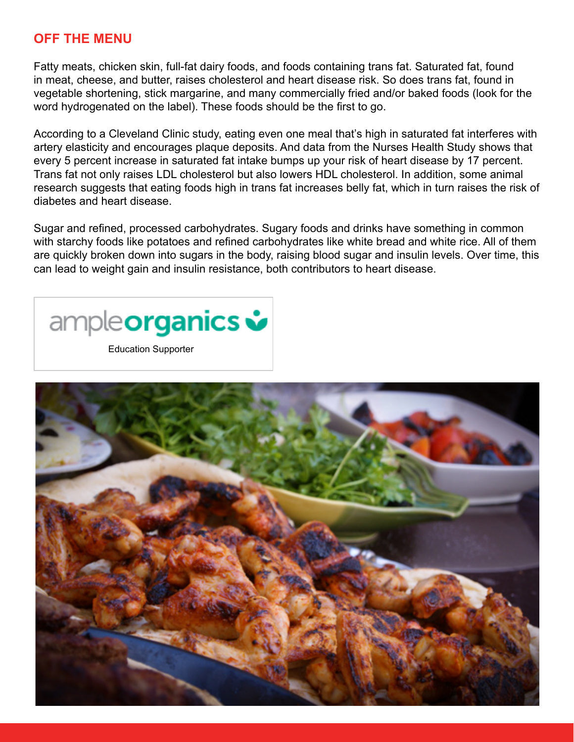#### **OFF THE MENU**

Fatty meats, chicken skin, full-fat dairy foods, and foods containing trans fat. Saturated fat, found in meat, cheese, and butter, raises cholesterol and heart disease risk. So does trans fat, found in vegetable shortening, stick margarine, and many commercially fried and/or baked foods (look for the word hydrogenated on the label). These foods should be the first to go.

According to a Cleveland Clinic study, eating even one meal that's high in saturated fat interferes with artery elasticity and encourages plaque deposits. And data from the Nurses Health Study shows that every 5 percent increase in saturated fat intake bumps up your risk of heart disease by 17 percent. Trans fat not only raises LDL cholesterol but also lowers HDL cholesterol. In addition, some animal research suggests that eating foods high in trans fat increases belly fat, which in turn raises the risk of diabetes and heart disease.

Sugar and refined, processed carbohydrates. Sugary foods and drinks have something in common with starchy foods like potatoes and refined carbohydrates like white bread and white rice. All of them are quickly broken down into sugars in the body, raising blood sugar and insulin levels. Over time, this can lead to weight gain and insulin resistance, both contributors to heart disease.